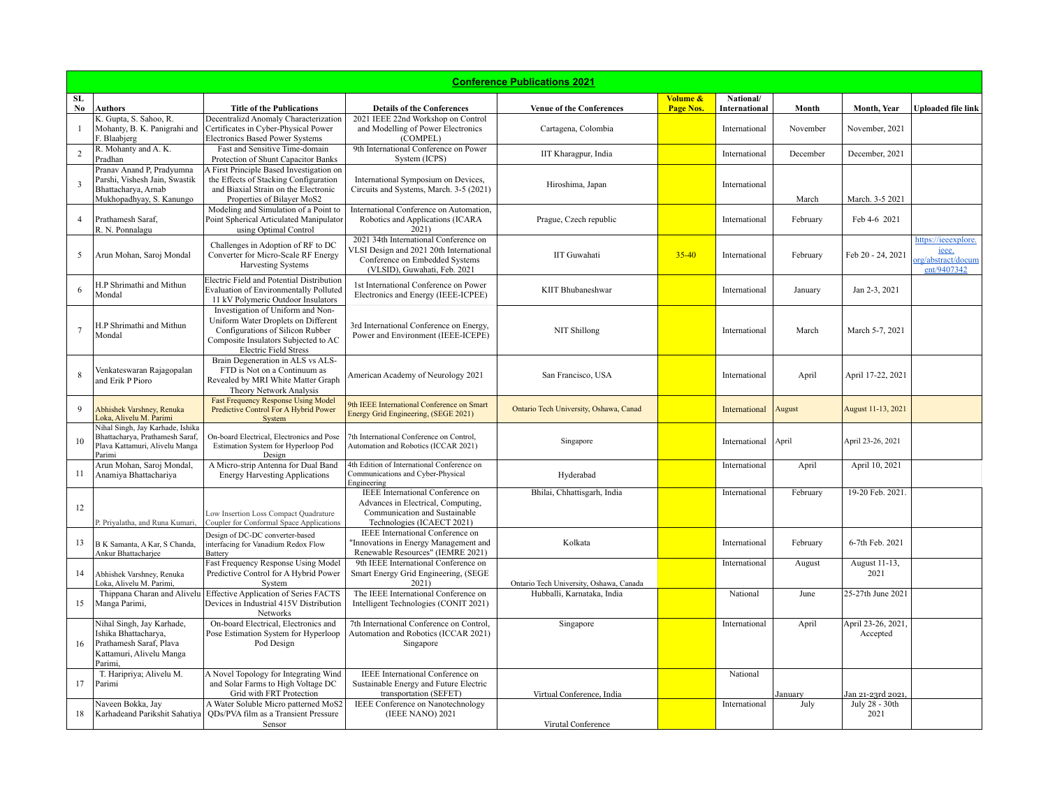| <b>Conference Publications 2021</b> |                                                                                                                     |                                                                                                                                                                                      |                                                                                                                                                    |                                         |                       |                            |          |                               |                                                                   |  |
|-------------------------------------|---------------------------------------------------------------------------------------------------------------------|--------------------------------------------------------------------------------------------------------------------------------------------------------------------------------------|----------------------------------------------------------------------------------------------------------------------------------------------------|-----------------------------------------|-----------------------|----------------------------|----------|-------------------------------|-------------------------------------------------------------------|--|
| SL<br>No.                           | Authors                                                                                                             | <b>Title of the Publications</b>                                                                                                                                                     | <b>Details of the Conferences</b>                                                                                                                  | <b>Venue of the Conferences</b>         | Volume &<br>Page Nos. | National/<br>International | Month    | Month, Year                   | <b>Uploaded file link</b>                                         |  |
|                                     | K. Gupta, S. Sahoo, R.<br>Mohanty, B. K. Panigrahi and<br>F. Blaabjerg                                              | Decentralizd Anomaly Characterization<br>Certificates in Cyber-Physical Power<br><b>Electronics Based Power Systems</b>                                                              | 2021 IEEE 22nd Workshop on Control<br>and Modelling of Power Electronics<br>(COMPEL)                                                               | Cartagena, Colombia                     |                       | International              | November | November, 2021                |                                                                   |  |
|                                     | R. Mohanty and A. K.<br>Pradhan                                                                                     | Fast and Sensitive Time-domain<br>Protection of Shunt Capacitor Banks                                                                                                                | 9th International Conference on Power<br>System (ICPS)                                                                                             | IIT Kharagpur, India                    |                       | International              | December | December, 2021                |                                                                   |  |
| $\overline{\mathbf{3}}$             | Pranav Anand P, Pradyumna<br>Parshi, Vishesh Jain, Swastik<br>Bhattacharya, Arnab<br>Mukhopadhyay, S. Kanungo       | A First Principle Based Investigation on<br>the Effects of Stacking Configuration<br>and Biaxial Strain on the Electronic<br>Properties of Bilayer MoS2                              | International Symposium on Devices,<br>Circuits and Systems, March. 3-5 (2021)                                                                     | Hiroshima, Japan                        |                       | International              | March    | March. 3-5 2021               |                                                                   |  |
| $\overline{4}$                      | Prathamesh Saraf,<br>R. N. Ponnalagu                                                                                | Modeling and Simulation of a Point to<br>Point Spherical Articulated Manipulator<br>using Optimal Control                                                                            | International Conference on Automation,<br>Robotics and Applications (ICARA<br>2021)                                                               | Prague, Czech republic                  |                       | International              | February | Feb 4-6 2021                  |                                                                   |  |
| 5                                   | Arun Mohan, Saroj Mondal                                                                                            | Challenges in Adoption of RF to DC<br>Converter for Micro-Scale RF Energy<br><b>Harvesting Systems</b>                                                                               | 2021 34th International Conference on<br>VLSI Design and 2021 20th International<br>Conference on Embedded Systems<br>(VLSID), Guwahati, Feb. 2021 | <b>IIT</b> Guwahati                     | $35 - 40$             | International              | February | Feb 20 - 24, 2021             | https://ieeexplore.<br>ieee.<br>org/abstract/docum<br>ent/9407342 |  |
| 6                                   | H.P Shrimathi and Mithun<br>Mondal                                                                                  | Electric Field and Potential Distribution<br><b>Evaluation of Environmentally Polluted</b><br>11 kV Polymeric Outdoor Insulators                                                     | 1st International Conference on Power<br>Electronics and Energy (IEEE-ICPEE)                                                                       | <b>KIIT Bhubaneshwar</b>                |                       | International              | January  | Jan 2-3, 2021                 |                                                                   |  |
|                                     | H.P Shrimathi and Mithun<br>Mondal                                                                                  | Investigation of Uniform and Non-<br>Uniform Water Droplets on Different<br>Configurations of Silicon Rubber<br>Composite Insulators Subjected to AC<br><b>Electric Field Stress</b> | 3rd International Conference on Energy,<br>Power and Environment (IEEE-ICEPE)                                                                      | NIT Shillong                            |                       | International              | March    | March 5-7, 2021               |                                                                   |  |
|                                     | Venkateswaran Rajagopalan<br>and Erik P Pioro                                                                       | Brain Degeneration in ALS vs ALS-<br>FTD is Not on a Continuum as<br>Revealed by MRI White Matter Graph<br>Theory Network Analysis                                                   | American Academy of Neurology 2021                                                                                                                 | San Francisco, USA                      |                       | International              | April    | April 17-22, 2021             |                                                                   |  |
| $\mathbf Q$                         | Abhishek Varshney, Renuka<br>Loka, Alivelu M. Parimi                                                                | <b>Fast Frequency Response Using Model</b><br>Predictive Control For A Hybrid Power<br>System                                                                                        | 9th IEEE International Conference on Smart<br>Energy Grid Engineering, (SEGE 2021)                                                                 | Ontario Tech University, Oshawa, Canad  |                       | International              | August   | August 11-13, 2021            |                                                                   |  |
| 10                                  | Nihal Singh, Jay Karhade, Ishika<br>Bhattacharva, Prathamesh Saraf.<br>Plava Kattamuri, Alivelu Manga<br>Parimi     | On-board Electrical, Electronics and Pose<br>Estimation System for Hyperloop Pod<br>Design                                                                                           | 7th International Conference on Control,<br>Automation and Robotics (ICCAR 2021)                                                                   | Singapore                               |                       | International              | April    | April 23-26, 2021             |                                                                   |  |
| 11                                  | Arun Mohan, Saroj Mondal,<br>Anamiya Bhattachariya                                                                  | A Micro-strip Antenna for Dual Band<br><b>Energy Harvesting Applications</b>                                                                                                         | 4th Edition of International Conference on<br>Communications and Cyber-Physical<br>Engineering                                                     | Hyderabad                               |                       | International              | April    | April 10, 2021                |                                                                   |  |
| 12                                  | P. Priyalatha, and Runa Kumari,                                                                                     | Low Insertion Loss Compact Quadrature<br>Coupler for Conformal Space Applications                                                                                                    | IEEE International Conference on<br>Advances in Electrical, Computing,<br>Communication and Sustainable<br>Technologies (ICAECT 2021)              | Bhilai, Chhattisgarh, India             |                       | International              | February | 19-20 Feb. 2021.              |                                                                   |  |
| 13                                  | B K Samanta, A Kar, S Chanda,<br>Ankur Bhattacharjee                                                                | Design of DC-DC converter-based<br>interfacing for Vanadium Redox Flow<br>Battery                                                                                                    | IEEE International Conference on<br>Innovations in Energy Management and<br>Renewable Resources" (IEMRE 2021)                                      | Kolkata                                 |                       | International              | February | 6-7th Feb. 2021               |                                                                   |  |
| 14                                  | Abhishek Varshney, Renuka<br>Loka, Alivelu M. Parimi,                                                               | Fast Frequency Response Using Model<br>Predictive Control for A Hybrid Power<br>System                                                                                               | 9th IEEE International Conference on<br>Smart Energy Grid Engineering, (SEGE<br>2021)                                                              | Ontario Tech University, Oshawa, Canada |                       | International              | August   | August 11-13,<br>2021         |                                                                   |  |
| 15                                  | Thippana Charan and Alivelu<br>Manga Parimi,                                                                        | Effective Application of Series FACTS<br>Devices in Industrial 415V Distribution<br><b>Networks</b>                                                                                  | The IEEE International Conference on<br>Intelligent Technologies (CONIT 2021)                                                                      | Hubballi, Karnataka, India              |                       | National                   | June     | 25-27th June 2021             |                                                                   |  |
| 16                                  | Nihal Singh, Jay Karhade,<br>Ishika Bhattacharva.<br>Prathamesh Saraf, Plava<br>Kattamuri, Alivelu Manga<br>Parimi, | On-board Electrical, Electronics and<br>Pose Estimation System for Hyperloop<br>Pod Design                                                                                           | 7th International Conference on Control,<br>Automation and Robotics (ICCAR 2021)<br>Singapore                                                      | Singapore                               |                       | International              | April    | April 23-26, 2021<br>Accepted |                                                                   |  |
| 17                                  | T. Haripriya; Alivelu M.<br>Parimi                                                                                  | A Novel Topology for Integrating Wind<br>and Solar Farms to High Voltage DC<br>Grid with FRT Protection                                                                              | IEEE International Conference on<br>Sustainable Energy and Future Electric<br>transportation (SEFET)                                               | Virtual Conference, India               |                       | National                   | January  | Jan 21-23rd 2021,             |                                                                   |  |
| 18                                  | Naveen Bokka, Jay<br>Karhadeand Parikshit Sahatiya                                                                  | A Water Soluble Micro patterned MoS2<br>ODs/PVA film as a Transient Pressure<br>Sensor                                                                                               | IEEE Conference on Nanotechnology<br>(IEEE NANO) 2021                                                                                              | Virutal Conference                      |                       | International              | July     | July 28 - 30th<br>2021        |                                                                   |  |